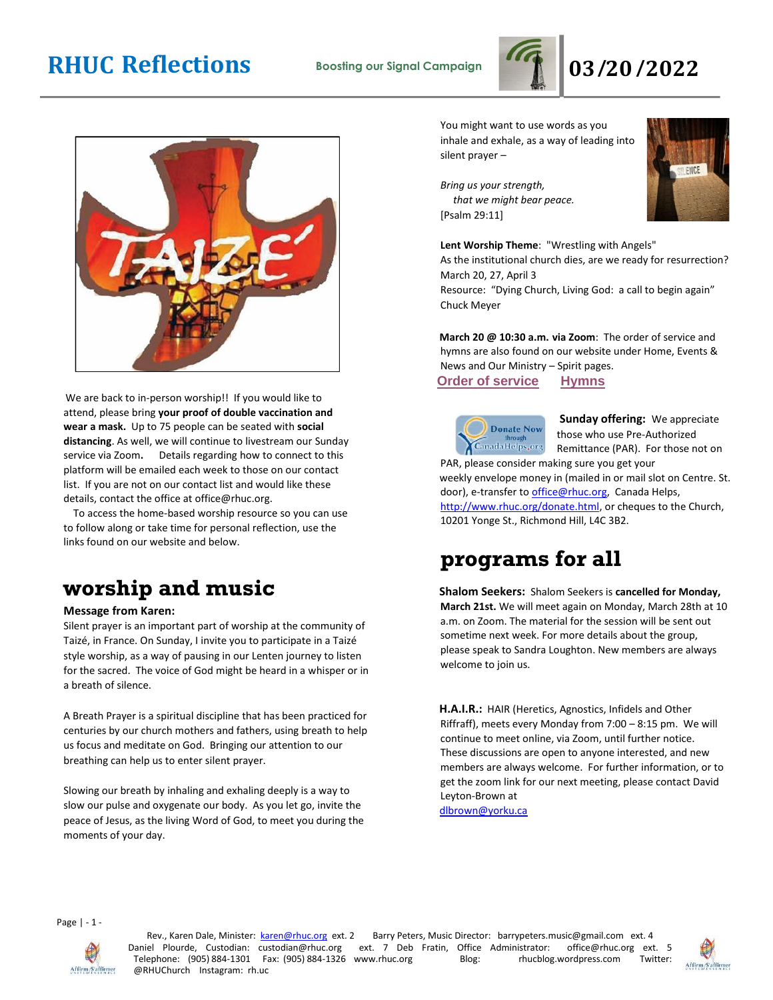# **RHUC Reflections Boosting our Signal Campaign 03/20/2022**





We are back to in-person worship!! If you would like to attend, please bring **your proof of double vaccination and wear a mask.** Up to 75 people can be seated with **social distancing**. As well, we will continue to livestream our Sunday service via Zoom**.** Details regarding how to connect to this platform will be emailed each week to those on our contact list. If you are not on our contact list and would like these details, contact the office at office@rhuc.org.

 To access the home-based worship resource so you can use to follow along or take time for personal reflection, use the links found on our website and below.

# **worship and music**

#### **Message from Karen:**

Silent prayer is an important part of worship at the community of Taizé, in France. On Sunday, I invite you to participate in a Taizé style worship, as a way of pausing in our Lenten journey to listen for the sacred. The voice of God might be heard in a whisper or in a breath of silence.

A Breath Prayer is a spiritual discipline that has been practiced for centuries by our church mothers and fathers, using breath to help us focus and meditate on God. Bringing our attention to our breathing can help us to enter silent prayer.

Slowing our breath by inhaling and exhaling deeply is a way to slow our pulse and oxygenate our body. As you let go, invite the peace of Jesus, as the living Word of God, to meet you during the moments of your day.

You might want to use words as you inhale and exhale, as a way of leading into silent prayer –

*Bring us your strength, that we might bear peace.*  [Psalm 29:11]



**Lent Worship Theme**: "Wrestling with Angels"

As the institutional church dies, are we ready for resurrection? March 20, 27, April 3 Resource: "Dying Church, Living God: a call to begin again"

Chuck Meyer

**March 20 @ 10:30 a.m. via Zoom**: The order of service and hymns are also found on our website under Home, Events & News and Our Ministry – Spirit pages.

**Order of [service](http://rhuc.org/March%20%2020%20OofS%20Taize.pdf) [Hymns](http://rhuc.org/Hymns%20for%202022%2003%2020.pdf)**

**Sunday offering:** We appreciate **Donate Now** CanadaHelps, org PAR, please consider making sure you get your

those who use Pre-Authorized Remittance (PAR). For those not on weekly envelope money in (mailed in or mail slot on Centre. St.

door), e-transfer to office@rhuc.org, Canada Helps, [http://www.rhuc.org/donate.html,](http://www.rhuc.org/donate.html) or cheques to the Church, 10201 Yonge St., Richmond Hill, L4C 3B2.

### **programs for all**

**Shalom Seekers:** Shalom Seekers is **cancelled for Monday, March 21st.** We will meet again on Monday, March 28th at 10 a.m. on Zoom. The material for the session will be sent out sometime next week. For more details about the group, please speak to Sandra Loughton. New members are always welcome to join us.

**H.A.I.R.:** HAIR (Heretics, Agnostics, Infidels and Other Riffraff), meets every Monday from 7:00 – 8:15 pm. We will continue to meet online, via Zoom, until further notice. These discussions are open to anyone interested, and new members are always welcome. For further information, or to get the zoom link for our next meeting, please contact David Leyton-Brown at

dlbrown@yorku.ca

Page | - 1 -



Rev., Karen Dale, Minister: karen@rhuc.org ext. 2 Barry Peters, Music Director: barrypeters.music@gmail.com ext. 4 Daniel Plourde, Custodian: custodian@rhuc.org ext. 7 Deb Fratin, Office Administrator: office@rhuc.org ext ext. 7 Deb Fratin, Office Administrator: office@rhuc.org ext. 5<br>www.rhuc.org Blog: rhucblog.wordpress.com Twitter: Telephone: (905) 884-1301 Fax: (905) 884-1326 www.rhuc.org Blog: @RHUChurch Instagram: rh.uc

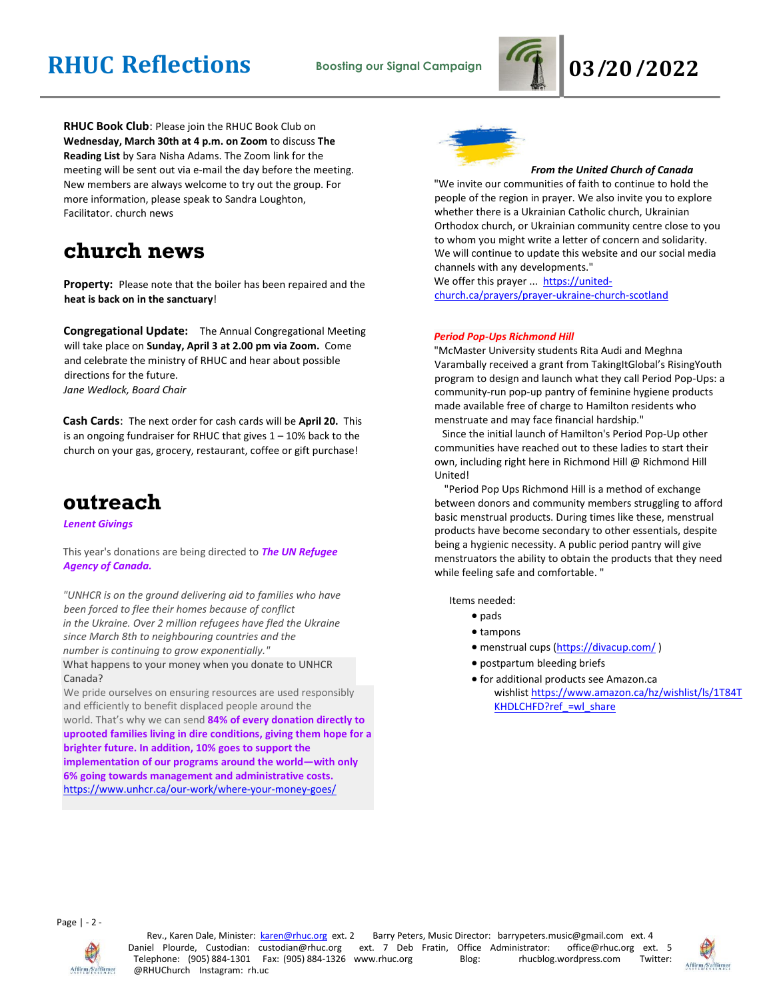# **RHUC Reflections Boosting our Signal Campaign 03/20/2022**



**RHUC Book Club**: Please join the RHUC Book Club on **Wednesday, March 30th at 4 p.m. on Zoom** to discuss **The Reading List** by Sara Nisha Adams. The Zoom link for the meeting will be sent out via e-mail the day before the meeting. New members are always welcome to try out the group. For more information, please speak to Sandra Loughton, Facilitator. church news

### **church news**

**Property:** Please note that the boiler has been repaired and the **heat is back on in the sanctuary**!

**Congregational Update:** The Annual Congregational Meeting will take place on **Sunday, April 3 at 2.00 pm via Zoom.** Come and celebrate the ministry of RHUC and hear about possible directions for the future. *Jane Wedlock, Board Chair* 

**Cash Cards**: The next order for cash cards will be **April 20.** This is an ongoing fundraiser for RHUC that gives  $1 - 10\%$  back to the church on your gas, grocery, restaurant, coffee or gift purchase!

### **outreach**

*Lenent Givings*

This year's donations are being directed to *The UN Refugee Agency of Canada.*

*"UNHCR is on the ground delivering aid to families who have been forced to flee their homes because of conflict in the Ukraine. Over 2 million refugees have fled the Ukraine since March 8th to neighbouring countries and the number is continuing to grow exponentially."*

What happens to your money when you donate to UNHCR Canada?

We pride ourselves on ensuring resources are used responsibly and efficiently to benefit displaced people around the world. That's why we can send **84% of every donation directly to uprooted families living in dire conditions, giving them hope for a brighter future. In addition, 10% goes to support the implementation of our programs around the world—with only 6% going towards management and administrative costs.** <https://www.unhcr.ca/our-work/where-your-money-goes/>



#### *From the United Church of Canada*

"We invite our communities of faith to continue to hold the people of the region in prayer. We also invite you to explore whether there is a Ukrainian Catholic church, Ukrainian Orthodox church, or Ukrainian community centre close to you to whom you might write a letter of concern and solidarity. We will continue to update this website and our social media channels with any developments."

We offer this prayer ... [https://united](https://united-church.ca/prayers/prayer-ukraine-church-scotland)[church.ca/prayers/prayer-ukraine-church-scotland](https://united-church.ca/prayers/prayer-ukraine-church-scotland)

#### *Period Pop-Ups Richmond Hill*

"McMaster University students Rita Audi and Meghna Varambally received a grant from TakingItGlobal's RisingYouth program to design and launch what they call Period Pop-Ups: a community-run pop-up pantry of feminine hygiene products made available free of charge to Hamilton residents who menstruate and may face financial hardship."

 Since the initial launch of Hamilton's Period Pop-Up other communities have reached out to these ladies to start their own, including right here in Richmond Hill @ Richmond Hill United!

 "Period Pop Ups Richmond Hill is a method of exchange between donors and community members struggling to afford basic menstrual products. During times like these, menstrual products have become secondary to other essentials, despite being a hygienic necessity. A public period pantry will give menstruators the ability to obtain the products that they need while feeling safe and comfortable. "

Items needed:

- pads
- tampons
- menstrual cups [\(https://divacup.com/](https://divacup.com/) )
- postpartum bleeding briefs
- for additional products see Amazon.ca wishlist [https://www.amazon.ca/hz/wishlist/ls/1T84T](https://www.amazon.ca/hz/wishlist/ls/1T84TKHDLCHFD?ref_=wl_share) KHDLCHFD?ref =wl\_share

Page | - 2 -



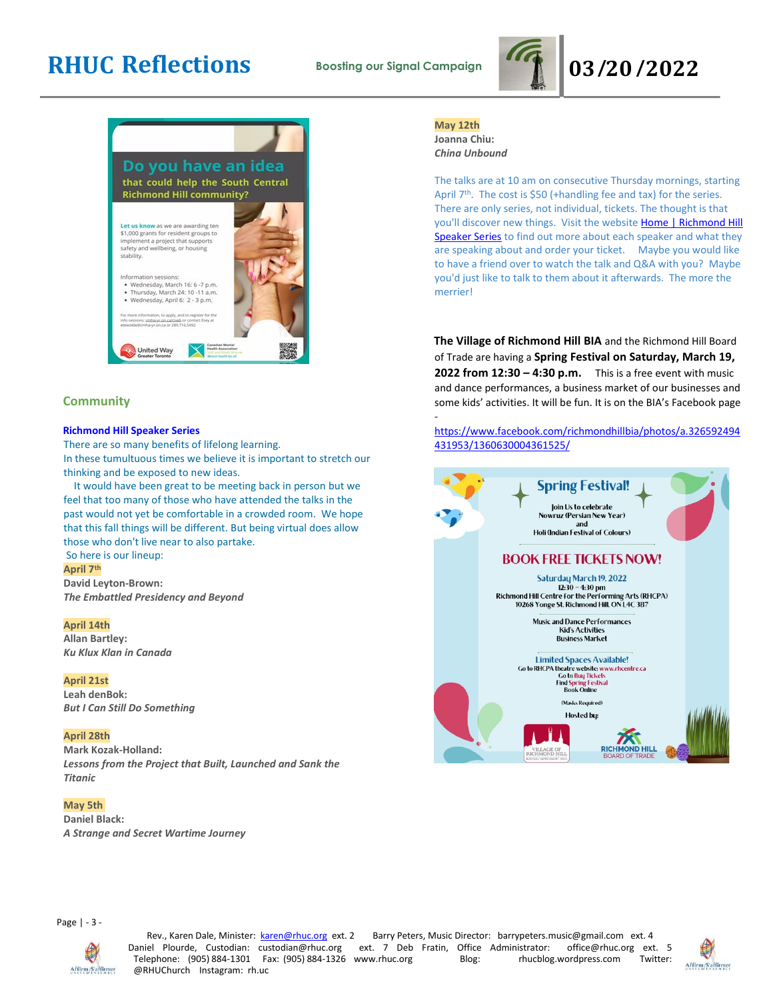# **RHUC Reflections Boosting our Signal Campaign 03/20/2022**





#### **Community**

#### **Richmond Hill Speaker Series**

There are so many benefits of lifelong learning. In these tumultuous times we believe it is important to stretch our thinking and be exposed to new ideas.

 It would have been great to be meeting back in person but we feel that too many of those who have attended the talks in the past would not yet be comfortable in a crowded room. We hope that this fall things will be different. But being virtual does allow those who don't live near to also partake.

#### So here is our lineup:

**April 7th**

**David Leyton-Brown:** *The Embattled Presidency and Beyond*

#### **April 14th**

**Allan Bartley:** *Ku Klux Klan in Canada*

#### **April 21st**

**Leah denBok:** *But I Can Still Do Something*

#### **April 28th**

**Mark Kozak-Holland:** *Lessons from the Project that Built, Launched and Sank the Titanic*

#### **May 5th**

**Daniel Black:** *A Strange and Secret Wartime Journey*

### **May 12th**

-

**Joanna Chiu:** *China Unbound*

The talks are at 10 am on consecutive Thursday mornings, starting April 7<sup>th</sup>. The cost is \$50 (+handling fee and tax) for the series. There are only series, not individual, tickets. The thought is that you'll discover new things. Visit the website Home | Richmond Hill [Speaker Series](https://www.richmondhillspeakerseries.ca/) to find out more about each speaker and what they are speaking about and order your ticket. Maybe you would like to have a friend over to watch the talk and Q&A with you? Maybe you'd just like to talk to them about it afterwards. The more the merrier!

**The Village of Richmond Hill BIA** and the Richmond Hill Board of Trade are having a **Spring Festival on Saturday, March 19, 2022 from 12:30 – 4:30 p.m.** This is a free event with music and dance performances, a business market of our businesses and some kids' activities. It will be fun. It is on the BIA's Facebook page

#### [https://www.facebook.com/richmondhillbia/photos/a.326592494](https://www.facebook.com/richmondhillbia/photos/a.326592494431953/1360630004361525/) [431953/1360630004361525/](https://www.facebook.com/richmondhillbia/photos/a.326592494431953/1360630004361525/)



Page | - 3 -



Rev., Karen Dale, Minister: karen@rhuc.org ext. 2 Barry Peters, Music Director: barrypeters.music@gmail.com ext. 4 Daniel Plourde, Custodian: custodian@rhuc.org ext. 7 Deb Fratin, Office Administrator: office@rhuc.org ext. 5<br>Telephone: (905) 884-1301 Fax: (905) 884-1326 www.rhuc.org Blog: rhucblog.wordpress.com Twitter: Telephone: (905) 884-1301 Fax: (905) 884-1326 www.rhuc.org @RHUChurch Instagram: rh.uc